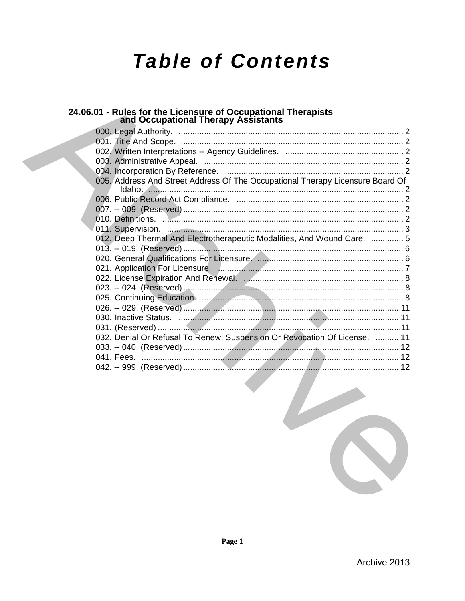# **Table of Contents**

## 24.06.01 - Rules for the Licensure of Occupational Therapists<br>and Occupational Therapy Assistants

| 005. Address And Street Address Of The Occupational Therapy Licensure Board Of |  |
|--------------------------------------------------------------------------------|--|
|                                                                                |  |
|                                                                                |  |
|                                                                                |  |
|                                                                                |  |
| 012. Deep Thermal And Electrotherapeutic Modalities, And Wound Care.  5        |  |
|                                                                                |  |
|                                                                                |  |
|                                                                                |  |
|                                                                                |  |
|                                                                                |  |
|                                                                                |  |
|                                                                                |  |
|                                                                                |  |
|                                                                                |  |
| 032. Denial Or Refusal To Renew, Suspension Or Revocation Of License.  11      |  |
|                                                                                |  |
|                                                                                |  |
|                                                                                |  |
|                                                                                |  |

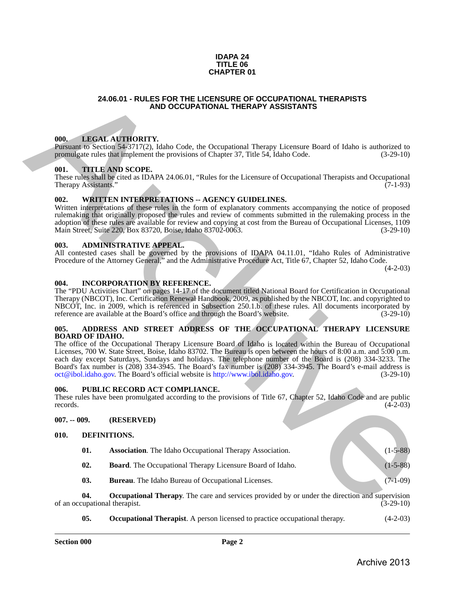#### **IDAPA 24 TITLE 06 CHAPTER 01**

#### **24.06.01 - RULES FOR THE LICENSURE OF OCCUPATIONAL THERAPISTS AND OCCUPATIONAL THERAPY ASSISTANTS**

#### <span id="page-1-1"></span>**000. LEGAL AUTHORITY.**

Pursuant to Section 54-3717(2), Idaho Code, the Occupational Therapy Licensure Board of Idaho is authorized to promulgate rules that implement the provisions of Chapter 37, Title 54, Idaho Code.

#### <span id="page-1-2"></span>**001. TITLE AND SCOPE.**

These rules shall be cited as IDAPA 24.06.01, "Rules for the Licensure of Occupational Therapists and Occupational Therapy Assistants."

#### <span id="page-1-3"></span>**002. WRITTEN INTERPRETATIONS -- AGENCY GUIDELINES.**

Written interpretations of these rules in the form of explanatory comments accompanying the notice of proposed rulemaking that originally proposed the rules and review of comments submitted in the rulemaking process in the adoption of these rules are available for review and copying at cost from the Bureau of Occupational Licenses, 1109<br>Main Street, Suite 220, Box 83720, Boise, Idaho 83702-0063. (3-29-10) Main Street, Suite 220, Box 83720, Boise, Idaho 83702-0063.

#### <span id="page-1-4"></span>**003. ADMINISTRATIVE APPEAL.**

All contested cases shall be governed by the provisions of IDAPA 04.11.01, "Idaho Rules of Administrative Procedure of the Attorney General," and the Administrative Procedure Act, Title 67, Chapter 52, Idaho Code.

 $(4-2-03)$ 

#### <span id="page-1-5"></span>**004. INCORPORATION BY REFERENCE.**

The "PDU Activities Chart" on pages 14-17 of the document titled National Board for Certification in Occupational Therapy (NBCOT), Inc. Certification Renewal Handbook, 2009, as published by the NBCOT, Inc. and copyrighted to NBCOT, Inc. in 2009, which is referenced in Subsection 250.1.b. of these rules. All documents incorporated by reference are available at the Board's office and through the Board's website. (3-29-10)

#### <span id="page-1-6"></span>**005. ADDRESS AND STREET ADDRESS OF THE OCCUPATIONAL THERAPY LICENSURE BOARD OF IDAHO.**

<span id="page-1-0"></span>The office of the Occupational Therapy Licensure Board of Idaho is located within the Bureau of Occupational Licenses, 700 W. State Street, Boise, Idaho 83702. The Bureau is open between the hours of 8:00 a.m. and 5:00 p.m. each day except Saturdays, Sundays and holidays. The telephone number of the Board is (208) 334-3233. The Board's fax number is (208) 334-3945. The Board's fax number is (208) 334-3945. The Board's e-mail address is oct@ibol.idaho.gov. The Board's official website is http://www.ibol.idaho.gov. (3-29-10)  $oct@ibol.idaho.gov$ . The Board's official website is http://www.ibol.idaho.gov. **24.06.01 - RULES FOR THE LICENSURE OF OCCUPATIONAL THERAPY ASSISTANTS<br>
(OR LEGAL AUTIDOKITION).** The Computer of the Computer Board of India is anticroscial of the computer and the computer of the Computer of the Compute

#### <span id="page-1-7"></span>**006. PUBLIC RECORD ACT COMPLIANCE.**

These rules have been promulgated according to the provisions of Title 67, Chapter 52, Idaho Code and are public records. (4-2-03) records.  $(4-2-03)$ 

#### <span id="page-1-8"></span>**007. -- 009. (RESERVED)**

#### <span id="page-1-9"></span>**010. DEFINITIONS.**

<span id="page-1-13"></span><span id="page-1-12"></span><span id="page-1-11"></span><span id="page-1-10"></span>

| 01. | <b>Association.</b> The Idaho Occupational Therapy Association.  | $(1-5-88)$ |
|-----|------------------------------------------------------------------|------------|
| 02. | <b>Board.</b> The Occupational Therapy Licensure Board of Idaho. | $(1-5-88)$ |
| 03. | <b>Bureau.</b> The Idaho Bureau of Occupational Licenses.        | (7-1-09)   |

**04. Occupational Therapy**. The care and services provided by or under the direction and supervision of an occupational therapist. (3-29-10)

<span id="page-1-15"></span><span id="page-1-14"></span>**05.** Occupational Therapist. A person licensed to practice occupational therapy.  $(4-2-03)$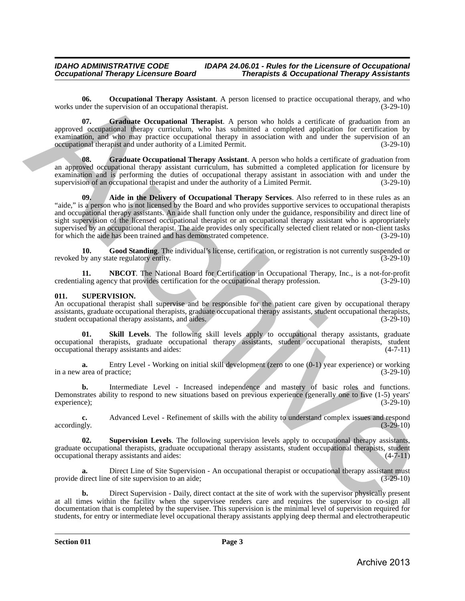<span id="page-2-6"></span>**06.** Occupational Therapy Assistant. A person licensed to practice occupational therapy, and who der the supervision of an occupational therapist.  $(3-29-10)$ works under the supervision of an occupational therapist.

<span id="page-2-3"></span>**07. Graduate Occupational Therapist**. A person who holds a certificate of graduation from an approved occupational therapy curriculum, who has submitted a completed application for certification by examination, and who may practice occupational therapy in association with and under the supervision of an occupational therapist and under authority of a Limited Permit. (3-29-10) occupational therapist and under authority of a Limited Permit.

<span id="page-2-4"></span><span id="page-2-1"></span>**08. Graduate Occupational Therapy Assistant**. A person who holds a certificate of graduation from an approved occupational therapy assistant curriculum, has submitted a completed application for licensure by examination and is performing the duties of occupational therapy assistant in association with and under the supervision of an occupational therapist and under the authority of a Limited Permit. (3-29-10) supervision of an occupational therapist and under the authority of a Limited Permit.

**09. Aide in the Delivery of Occupational Therapy Services**. Also referred to in these rules as an "aide," is a person who is not licensed by the Board and who provides supportive services to occupational therapists and occupational therapy assistants. An aide shall function only under the guidance, responsibility and direct line of sight supervision of the licensed occupational therapist or an occupational therapy assistant who is appropriately supervised by an occupational therapist. The aide provides only specifically selected client related or non-client tasks for which the aide has been trained and has demonstrated competence. (3-29-10) one. Occupational Therapy Assistant, A person licensed to practice occupational therapy, and who<br>suppressed through the accomplisation of the suppressed of the subset of subsets for the subset of subsets and subsets and s

<span id="page-2-2"></span>**10.** Good Standing. The individual's license, certification, or registration is not currently suspended or by any state regulatory entity.  $(3-29-10)$ revoked by any state regulatory entity.

<span id="page-2-5"></span>**11. NBCOT**. The National Board for Certification in Occupational Therapy, Inc., is a not-for-profit ling agency that provides certification for the occupational therapy profession. (3-29-10) credentialing agency that provides certification for the occupational therapy profession.

#### <span id="page-2-7"></span><span id="page-2-0"></span>**011. SUPERVISION.**

An occupational therapist shall supervise and be responsible for the patient care given by occupational therapy assistants, graduate occupational therapists, graduate occupational therapy assistants, student occupational therapists, student occupational therapy assistants, and aides. (3-29-10) student occupational therapy assistants, and aides.

<span id="page-2-8"></span>**Skill Levels**. The following skill levels apply to occupational therapy assistants, graduate occupational therapists, graduate occupational therapy assistants, student occupational therapists, student occupational therapy assistants and aides:

**a.** Entry Level - Working on initial skill development (zero to one  $(0-1)$  year experience) or working area of practice; (3-29-10) in a new area of practice;

**b.** Intermediate Level - Increased independence and mastery of basic roles and functions. Demonstrates ability to respond to new situations based on previous experience (generally one to five (1-5) years' experience):  $(3-29-10)$ experience); (3-29-10)

**c.** Advanced Level - Refinement of skills with the ability to understand complex issues and respond gly. (3-29-10) accordingly.

<span id="page-2-9"></span>**02. Supervision Levels**. The following supervision levels apply to occupational therapy assistants, graduate occupational therapists, graduate occupational therapy assistants, student occupational therapists, student occupational therapy assistants and aides: (4-7-11) occupational therapy assistants and aides:

**a.** Direct Line of Site Supervision - An occupational therapist or occupational therapy assistant must provide direct line of site supervision to an aide; (3-29-10)

**b.** Direct Supervision - Daily, direct contact at the site of work with the supervisor physically present at all times within the facility when the supervisee renders care and requires the supervisor to co-sign all documentation that is completed by the supervisee. This supervision is the minimal level of supervision required for students, for entry or intermediate level occupational therapy assistants applying deep thermal and electrotherapeutic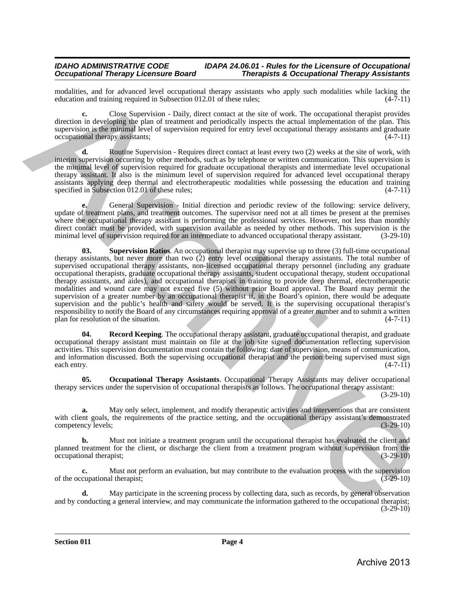modalities, and for advanced level occupational therapy assistants who apply such modalities while lacking the education and training required in Subsection 012.01 of these rules: (4-7-11) education and training required in Subsection 012.01 of these rules;

**c.** Close Supervision - Daily, direct contact at the site of work. The occupational therapist provides direction in developing the plan of treatment and periodically inspects the actual implementation of the plan. This supervision is the minimal level of supervision required for entry level occupational therapy assistants and graduate occupational therapy assistants: (4-7-11) occupational therapy assistants;

**d.** Routine Supervision - Requires direct contact at least every two (2) weeks at the site of work, with interim supervision occurring by other methods, such as by telephone or written communication. This supervision is the minimal level of supervision required for graduate occupational therapists and intermediate level occupational therapy assistant. It also is the minimum level of supervision required for advanced level occupational therapy assistants applying deep thermal and electrotherapeutic modalities while possessing the education and training specified in Subsection 012.01 of these rules: (4-7-11) specified in Subsection 012.01 of these rules;

<span id="page-3-2"></span>**e.** General Supervision - Initial direction and periodic review of the following: service delivery, update of treatment plans, and treatment outcomes. The supervisor need not at all times be present at the premises where the occupational therapy assistant is performing the professional services. However, not less than monthly direct contact must be provided, with supervision available as needed by other methods. This supervision is the minimal level of supervision required for an intermediate to advanced occupational therapy assistant. (3-29-10 minimal level of supervision required for an intermediate to advanced occupational therapy assistant.

**03. Supervision Ratios**. An occupational therapist may supervise up to three (3) full-time occupational therapy assistants, but never more than two (2) entry level occupational therapy assistants. The total number of supervised occupational therapy assistants, non-licensed occupational therapy personnel (including any graduate occupational therapists, graduate occupational therapy assistants, student occupational therapy, student occupational therapy assistants, and aides), and occupational therapists in training to provide deep thermal, electrotherapeutic modalities and wound care may not exceed five (5) without prior Board approval. The Board may permit the supervision of a greater number by an occupational therapist if, in the Board's opinion, there would be adequate supervision and the public's health and safety would be served. It is the supervising occupational therapist's responsibility to notify the Board of any circumstances requiring approval of a greater number and to submit a written<br>plan for resolution of the situation. (4-7-11) plan for resolution of the situation. realation, and its advanced based computering has been avoident to be experimentally the computering of the state of the state of the state of the state of the state of the state of the state of the state of the state of

<span id="page-3-1"></span>**Record Keeping**. The occupational therapy assistant, graduate occupational therapist, and graduate occupational therapy assistant must maintain on file at the job site signed documentation reflecting supervision activities. This supervision documentation must contain the following: date of supervision, means of communication, and information discussed. Both the supervising occupational therapist and the person being supervised must sign each entry. (4-7-11)

<span id="page-3-0"></span>**05. Occupational Therapy Assistants**. Occupational Therapy Assistants may deliver occupational therapy services under the supervision of occupational therapists as follows. The occupational therapy assistant: (3-29-10)

**a.** May only select, implement, and modify therapeutic activities and interventions that are consistent with client goals, the requirements of the practice setting, and the occupational therapy assistant's demonstrated competency levels; (3-29-10)

**b.** Must not initiate a treatment program until the occupational therapist has evaluated the client and planned treatment for the client, or discharge the client from a treatment program without supervision from the occupational therapist; (3-29-10)

**c.** Must not perform an evaluation, but may contribute to the evaluation process with the supervision of the occupational therapist; (3-29-10)

May participate in the screening process by collecting data, such as records, by general observation and by conducting a general interview, and may communicate the information gathered to the occupational therapist;  $(3-29-10)$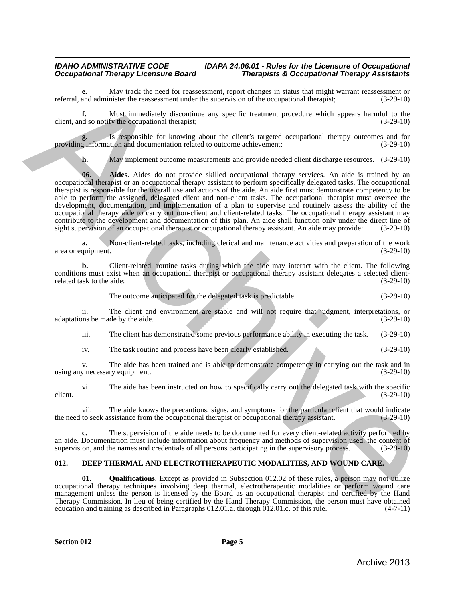**e.** May track the need for reassessment, report changes in status that might warrant reassessment or and administer the reassessment under the supervision of the occupational therapist; (3-29-10) referral, and administer the reassessment under the supervision of the occupational therapist;

**f.** Must immediately discontinue any specific treatment procedure which appears harmful to the client, and so notify the occupational therapist; (3-29-10)

Is responsible for knowing about the client's targeted occupational therapy outcomes and for the distribution and documentation related to outcome achievement:  $(3-29-10)$ providing information and documentation related to outcome achievement;

<span id="page-4-3"></span>**h.** May implement outcome measurements and provide needed client discharge resources. (3-29-10)

**06. Aides**. Aides do not provide skilled occupational therapy services. An aide is trained by an occupational therapist or an occupational therapy assistant to perform specifically delegated tasks. The occupational therapist is responsible for the overall use and actions of the aide. An aide first must demonstrate competency to be able to perform the assigned, delegated client and non-client tasks. The occupational therapist must oversee the development, documentation, and implementation of a plan to supervise and routinely assess the ability of the occupational therapy aide to carry out non-client and client-related tasks. The occupational therapy assistant may contribute to the development and documentation of this plan. An aide shall function only under the direct line of sight supervision of an occupational therapist or occupational therapy assistant. An aide may provide: (3-29-10) referral, and administration resolution the mean for measurement representation of the occupational thermal measurement of the same of the same of the same of the same of the same of the same of the same of the same of th

**a.** Non-client-related tasks, including clerical and maintenance activities and preparation of the work quipment. (3-29-10) area or equipment.

**b.** Client-related, routine tasks during which the aide may interact with the client. The following conditions must exist when an occupational therapist or occupational therapy assistant delegates a selected client-<br>related task to the aide: (3-29-10) related task to the aide:

i. The outcome anticipated for the delegated task is predictable. (3-29-10)

ii. The client and environment are stable and will not require that judgment, interpretations, or adaptations be made by the aide. (3-29-10)

iii. The client has demonstrated some previous performance ability in executing the task. (3-29-10)

iv. The task routine and process have been clearly established. (3-29-10)

v. The aide has been trained and is able to demonstrate competency in carrying out the task and in using any necessary equipment.

vi. The aide has been instructed on how to specifically carry out the delegated task with the specific client.  $(3-29-10)$ 

vii. The aide knows the precautions, signs, and symptoms for the particular client that would indicate to seek assistance from the occupational therapist or occupational therapy assistant. (3-29-10) the need to seek assistance from the occupational therapist or occupational therapy assistant.

**c.** The supervision of the aide needs to be documented for every client-related activity performed by an aide. Documentation must include information about frequency and methods of supervision used, the content of supervision, and the names and credentials of all persons participating in the supervisory process. (3-29-10)

#### <span id="page-4-1"></span><span id="page-4-0"></span>**012. DEEP THERMAL AND ELECTROTHERAPEUTIC MODALITIES, AND WOUND CARE.**

<span id="page-4-2"></span>**01. Qualifications**. Except as provided in Subsection 012.02 of these rules, a person may not utilize occupational therapy techniques involving deep thermal, electrotherapeutic modalities or perform wound care management unless the person is licensed by the Board as an occupational therapist and certified by the Hand Therapy Commission. In lieu of being certified by the Hand Therapy Commission, the person must have obtained education and training as described in Paragraphs 012.01.a. through 012.01.c. of this rule. (4-7-11)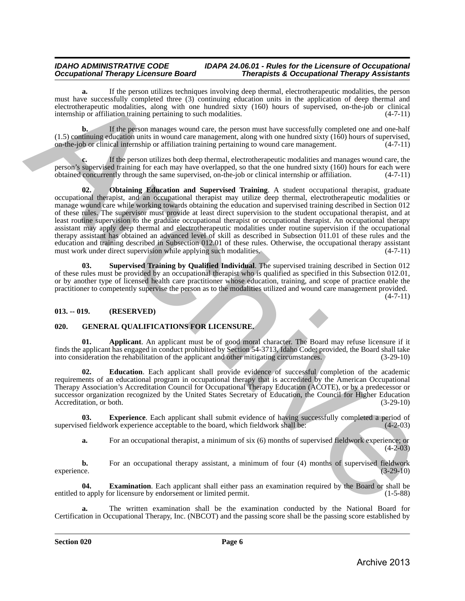**a.** If the person utilizes techniques involving deep thermal, electrotherapeutic modalities, the person must have successfully completed three (3) continuing education units in the application of deep thermal and electrotherapeutic modalities, along with one hundred sixty (160) hours of supervised, on-the-job or clinical internship or affiliation training pertaining to such modalities. (4-7-11)

**b.** If the person manages wound care, the person must have successfully completed one and one-half (1.5) continuing education units in wound care management, along with one hundred sixty (160) hours of supervised, on-the-job or clinical internship or affiliation training pertaining to wound care management. (4-7-11)

<span id="page-5-2"></span>**c.** If the person utilizes both deep thermal, electrotherapeutic modalities and manages wound care, the person's supervised training for each may have overlapped, so that the one hundred sixty (160) hours for each were obtained concurrently through the same supervised, on-the-job or clinical internship or affiliation.  $(4-7$ obtained concurrently through the same supervised, on-the-job or clinical internship or affiliation.

**02. Obtaining Education and Supervised Training**. A student occupational therapist, graduate occupational therapist, and an occupational therapist may utilize deep thermal, electrotherapeutic modalities or manage wound care while working towards obtaining the education and supervised training described in Section 012 of these rules. The supervisor must provide at least direct supervision to the student occupational therapist, and at least routine supervision to the graduate occupational therapist or occupational therapist. An occupational therapy assistant may apply deep thermal and electrotherapeutic modalities under routine supervision if the occupational therapy assistant has obtained an advanced level of skill as described in Subsection 011.01 of these rules and the education and training described in Subsection 012.01 of these rules. Otherwise, the occupational therapy assistant must work under direct supervision while applying such modalities. (4-7-11) must work under direct supervision while applying such modalities. must have a<br>according completed then the internal particular and the dependent internal particular and the experimental particle internal particle internal particle internal particle internal particle internal particle in

<span id="page-5-3"></span>**03. Supervised Training by Qualified Individual**. The supervised training described in Section 012 of these rules must be provided by an occupational therapist who is qualified as specified in this Subsection 012.01, or by another type of licensed health care practitioner whose education, training, and scope of practice enable the practitioner to competently supervise the person as to the modalities utilized and wound care management provided.  $(4 - 7 - 11)$ 

#### <span id="page-5-0"></span>**013. -- 019. (RESERVED)**

#### <span id="page-5-4"></span><span id="page-5-1"></span>**020. GENERAL QUALIFICATIONS FOR LICENSURE.**

<span id="page-5-5"></span>**01. Applicant**. An applicant must be of good moral character. The Board may refuse licensure if it finds the applicant has engaged in conduct prohibited by Section 54-3713, Idaho Code; provided, the Board shall take into consideration the rehabilitation of the applicant and other mitigating circumstances. (3-29-10)

<span id="page-5-6"></span>**02. Education**. Each applicant shall provide evidence of successful completion of the academic requirements of an educational program in occupational therapy that is accredited by the American Occupational Therapy Association's Accreditation Council for Occupational Therapy Education (ACOTE), or by a predecessor or successor organization recognized by the United States Secretary of Education, the Council for Higher Education Accreditation, or both. (3-29-10)

**03. Experience**. Each applicant shall submit evidence of having successfully completed a period of ed fieldwork experience acceptable to the board, which fieldwork shall be: (4-2-03) supervised fieldwork experience acceptable to the board, which fieldwork shall be:

<span id="page-5-8"></span><span id="page-5-7"></span>**a.** For an occupational therapist, a minimum of six (6) months of supervised fieldwork experience; or  $(4-2-03)$ 

**b.** For an occupational therapy assistant, a minimum of four (4) months of supervised fieldwork experience.  $(3-29-10)$ experience. (3-29-10)

**04. Examination**. Each applicant shall either pass an examination required by the Board or shall be o apply for licensure by endorsement or limited permit. (1-5-88) entitled to apply for licensure by endorsement or limited permit.

**a.** The written examination shall be the examination conducted by the National Board for Certification in Occupational Therapy, Inc. (NBCOT) and the passing score shall be the passing score established by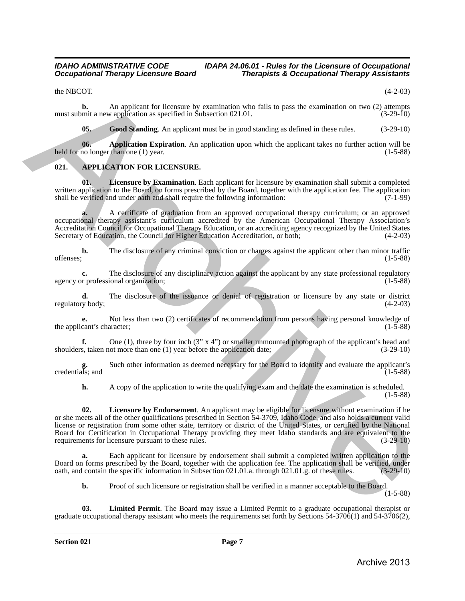the NBCOT.  $(4-2-03)$ 

**b.** An applicant for licensure by examination who fails to pass the examination on two (2) attempts mit a new application as specified in Subsection 021.01.  $(3-29-10)$ must submit a new application as specified in Subsection 021.01.

<span id="page-6-6"></span><span id="page-6-5"></span><span id="page-6-3"></span>**05. Good Standing**. An applicant must be in good standing as defined in these rules. (3-29-10)

**06. Application Expiration**. An application upon which the applicant takes no further action will be held for no longer than one (1) year. (1-5-88)

#### <span id="page-6-1"></span><span id="page-6-0"></span>**021. APPLICATION FOR LICENSURE.**

**01. Licensure by Examination**. Each applicant for licensure by examination shall submit a completed written application to the Board, on forms prescribed by the Board, together with the application fee. The application shall be verified and under oath and shall require the following information: (7-1-99)

**a.** A certificate of graduation from an approved occupational therapy curriculum; or an approved occupational therapy assistant's curriculum accredited by the American Occupational Therapy Association's Accreditation Council for Occupational Therapy Education, or an accrediting agency recognized by the United States Secretary of Education, the Council for Higher Education Accreditation, or both; (4-2-03)

**b.** The disclosure of any criminal conviction or charges against the applicant other than minor traffic offenses; (1-5-88) offenses; (1-5-88)

**c.** The disclosure of any disciplinary action against the applicant by any state professional regulatory or professional organization: (1-5-88) agency or professional organization;

**d.** The disclosure of the issuance or denial of registration or licensure by any state or district y body:  $(4-2-03)$ regulatory body;

**e.** Not less than two (2) certificates of recommendation from persons having personal knowledge of cant's character; (1-5-88) the applicant's character;

**f.** One (1), three by four inch  $(3' \times 4'')$  or smaller unmounted photograph of the applicant's head and s, taken not more than one (1) year before the application date;  $(3-29-10)$ shoulders, taken not more than one  $(1)$  year before the application date;

**g.** Such other information as deemed necessary for the Board to identify and evaluate the applicant's g.<br>credentials; and

<span id="page-6-2"></span>**h.** A copy of the application to write the qualifying exam and the date the examination is scheduled. (1-5-88)

**02. Licensure by Endorsement**. An applicant may be eligible for licensure without examination if he or she meets all of the other qualifications prescribed in Section 54-3709, Idaho Code, and also holds a current valid license or registration from some other state, territory or district of the United States, or certified by the National Board for Certification in Occupational Therapy providing they meet Idaho standards and are equivalent to the requirements for licensure pursuant to these rules. (3-29-10) requirements for licensure pursuant to these rules. the NRTVIT.<br>
The MRTVIT and the international telescontes of the state is a space of the state of the state of the state of the state of the state of the state of the state of the state of the state of the state of the st

Each applicant for licensure by endorsement shall submit a completed written application to the Board on forms prescribed by the Board, together with the application fee. The application shall be verified, under oath, and contain the specific information in Subsection 021.01.a. through 021.01.g. of these rules. (3-29 oath, and contain the specific information in Subsection 021.01.a. through 021.01.g. of these rules.

<span id="page-6-4"></span>**b.** Proof of such licensure or registration shall be verified in a manner acceptable to the Board.

(1-5-88)

**03. Limited Permit**. The Board may issue a Limited Permit to a graduate occupational therapist or graduate occupational therapy assistant who meets the requirements set forth by Sections 54-3706(1) and 54-3706(2),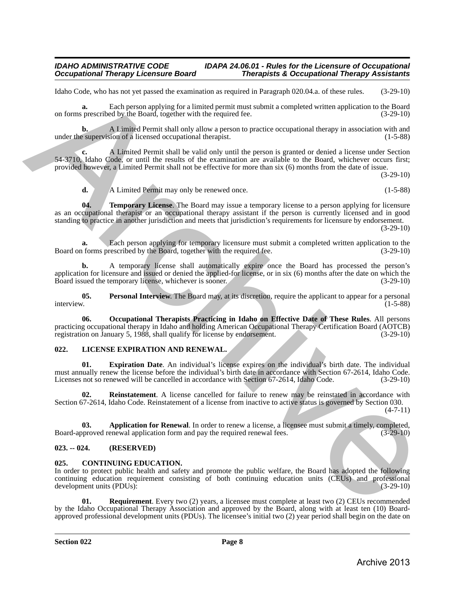Idaho Code, who has not yet passed the examination as required in Paragraph 020.04.a. of these rules. (3-29-10)

**a.** Each person applying for a limited permit must submit a completed written application to the Board on forms prescribed by the Board, together with the required fee. (3-29-10)

**b.** A Limited Permit shall only allow a person to practice occupational therapy in association with and a supervision of a licensed occupational therapist. under the supervision of a licensed occupational therapist.

**c.** A Limited Permit shall be valid only until the person is granted or denied a license under Section 54-3710, Idaho Code, or until the results of the examination are available to the Board, whichever occurs first; provided however, a Limited Permit shall not be effective for more than six (6) months from the date of issue.

(3-29-10)

<span id="page-7-5"></span>**d.** A Limited Permit may only be renewed once. (1-5-88)

**04.** Temporary License. The Board may issue a temporary license to a person applying for licensure as an occupational therapist or an occupational therapy assistant if the person is currently licensed and in good standing to practice in another jurisdiction and meets that jurisdiction's requirements for licensure by endorsement.

(3-29-10)

**a.** Each person applying for temporary licensure must submit a completed written application to the forms prescribed by the Board, together with the required fee.  $(3-29-10)$ Board on forms prescribed by the Board, together with the required fee.

**b.** A temporary license shall automatically expire once the Board has processed the person's application for licensure and issued or denied the applied-for license, or in six (6) months after the date on which the Board issued the temporary license, whichever is sooner. (3-29-10) Board issued the temporary license, whichever is sooner.

<span id="page-7-4"></span><span id="page-7-3"></span>**05.** Personal Interview. The Board may, at its discretion, require the applicant to appear for a personal interview.  $(1-5-88)$ interview. (1-5-88)

**06. Occupational Therapists Practicing in Idaho on Effective Date of These Rules**. All persons practicing occupational therapy in Idaho and holding American Occupational Therapy Certification Board (AOTCB) registration on January 5, 1988, shall qualify for license by endorsement. (3-29-10) registration on January 5, 1988, shall qualify for license by endorsement. khen Code, which as a propositive termination as equivalent Postagred O2U4.1. at these rules.<br>
On form procedure has the space of the form of the forest of the control of the space of the space of the space of the Board a

#### <span id="page-7-8"></span><span id="page-7-0"></span>**022. LICENSE EXPIRATION AND RENEWAL.**

<span id="page-7-10"></span>**01. Expiration Date**. An individual's license expires on the individual's birth date. The individual must annually renew the license before the individual's birth date in accordance with Section 67-2614, Idaho Code. Licenses not so renewed will be cancelled in accordance with Section 67-2614, Idaho Code. (3-29-10)

<span id="page-7-11"></span>**Reinstatement**. A license cancelled for failure to renew may be reinstated in accordance with Section 67-2614, Idaho Code. Reinstatement of a license from inactive to active status is governed by Section 030.

(4-7-11)

<span id="page-7-9"></span>**03. Application for Renewal**. In order to renew a license, a licensee must submit a timely, completed, oproved renewal application form and pay the required renewal fees.  $(3-29-10)$ Board-approved renewal application form and pay the required renewal fees.

#### <span id="page-7-1"></span>**023. -- 024. (RESERVED)**

#### <span id="page-7-6"></span><span id="page-7-2"></span>**025. CONTINUING EDUCATION.**

In order to protect public health and safety and promote the public welfare, the Board has adopted the following continuing education requirement consisting of both continuing education units (CEUs) and professional development units (PDUs):

<span id="page-7-7"></span>**01. Requirement**. Every two (2) years, a licensee must complete at least two (2) CEUs recommended by the Idaho Occupational Therapy Association and approved by the Board, along with at least ten (10) Boardapproved professional development units (PDUs). The licensee's initial two (2) year period shall begin on the date on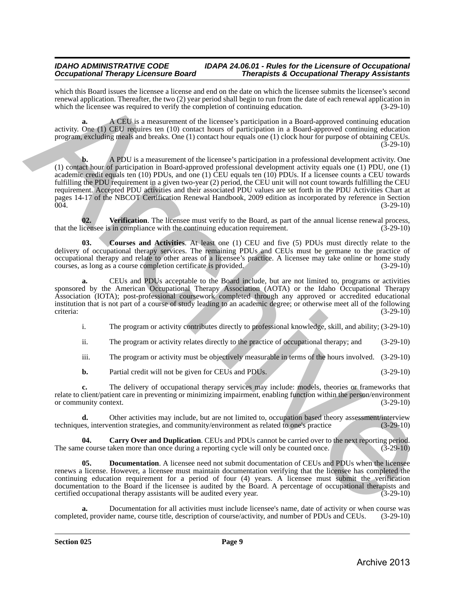which this Board issues the licensee a license and end on the date on which the licensee submits the licensee's second renewal application. Thereafter, the two (2) year period shall begin to run from the date of each renewal application in which the licensee was required to verify the completion of continuing education.  $(3-29-10)$ 

**a.** A CEU is a measurement of the licensee's participation in a Board-approved continuing education activity. One (1) CEU requires ten (10) contact hours of participation in a Board-approved continuing education program, excluding meals and breaks. One (1) contact hour equals one (1) clock hour for purpose of obtaining CEUs.  $(3-29-10)$ 

**b.** A PDU is a measurement of the licensee's participation in a professional development activity. One (1) contact hour of participation in Board-approved professional development activity equals one (1) PDU, one (1) academic credit equals ten (10) PDUs, and one (1) CEU equals ten (10) PDUs. If a licensee counts a CEU towards fulfilling the PDU requirement in a given two-year (2) period, the CEU unit will not count towards fulfilling the CEU requirement. Accepted PDU activities and their associated PDU values are set forth in the PDU Activities requirement. Accepted PDU activities and their associated PDU values are set forth in the PDU Activities Chart at pages 14-17 of the NBCOT Certification Renewal Handbook, 2009 edition as incorporated by reference in Section 004. (3-29-10) who this therm two two behavior at the two states of the theory which the behavior interaction and the states of the states of the states of the states of the states of the states of the states of the states of the states

<span id="page-8-3"></span>**02.** Verification. The licensee must verify to the Board, as part of the annual license renewal process, that the licensee is in compliance with the continuing education requirement. (3-29-10)

<span id="page-8-1"></span>**03. Courses and Activities**. At least one (1) CEU and five (5) PDUs must directly relate to the delivery of occupational therapy services. The remaining PDUs and CEUs must be germane to the practice of occupational therapy and relate to other areas of a licensee's practice. A licensee may take online or home study<br>courses, as long as a course completion certificate is provided. (3-29-10) courses, as long as a course completion certificate is provided.

**a.** CEUs and PDUs acceptable to the Board include, but are not limited to, programs or activities sponsored by the American Occupational Therapy Association (AOTA) or the Idaho Occupational Therapy Association (IOTA); post-professional coursework completed through any approved or accredited educational institution that is not part of a course of study leading to an academic degree; or otherwise meet all of the following criteria: (3-29-10)

i. The program or activity contributes directly to professional knowledge, skill, and ability; (3-29-10)

ii. The program or activity relates directly to the practice of occupational therapy; and (3-29-10)

iii. The program or activity must be objectively measurable in terms of the hours involved. (3-29-10)

**b.** Partial credit will not be given for CEUs and PDUs. (3-29-10)

**c.** The delivery of occupational therapy services may include: models, theories or frameworks that relate to client/patient care in preventing or minimizing impairment, enabling function within the person/environment<br>or community context. (3-29-10) or community context.

**d.** Other activities may include, but are not limited to, occupation based theory assessment/interview es, intervention strategies, and community/environment as related to one's practice (3-29-10) techniques, intervention strategies, and community/environment as related to one's practice

<span id="page-8-0"></span>**04. Carry Over and Duplication**. CEUs and PDUs cannot be carried over to the next reporting period. The same course taken more than once during a reporting cycle will only be counted once. (3-29-10)

<span id="page-8-2"></span>**05. Documentation**. A licensee need not submit documentation of CEUs and PDUs when the licensee renews a license. However, a licensee must maintain documentation verifying that the licensee has completed the continuing education requirement for a period of four (4) years. A licensee must submit the verification documentation to the Board if the licensee is audited by the Board. A percentage of occupational therapists and certified occupational therapy assistants will be audited every year. (3-29-10) certified occupational therapy assistants will be audited every year.

Documentation for all activities must include licensee's name, date of activity or when course was ler name, course title, description of course/activity, and number of PDUs and CEUs. (3-29-10) completed, provider name, course title, description of course/activity, and number of PDUs and CEUs.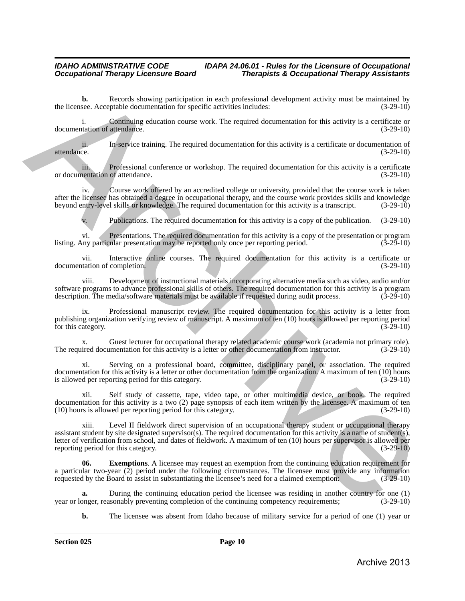**b.** Records showing participation in each professional development activity must be maintained by see. Acceptable documentation for specific activities includes: (3-29-10) the licensee. Acceptable documentation for specific activities includes:

i. Continuing education course work. The required documentation for this activity is a certificate or tation of attendance. (3-29-10) documentation of attendance.

ii. In-service training. The required documentation for this activity is a certificate or documentation of attendance. (3-29-10) attendance. (3-29-10)

iii. Professional conference or workshop. The required documentation for this activity is a certificate nentation of attendance. (3-29-10) or documentation of attendance.

iv. Course work offered by an accredited college or university, provided that the course work is taken after the licensee has obtained a degree in occupational therapy, and the course work provides skills and knowledge beyond entry-level skills or knowledge. The required documentation for this activity is a transcript. (3-29-10)

Publications. The required documentation for this activity is a copy of the publication. (3-29-10)

vi. Presentations. The required documentation for this activity is a copy of the presentation or program<br>ny particular presentation may be reported only once per reporting period. (3-29-10) listing. Any particular presentation may be reported only once per reporting period.

vii. Interactive online courses. The required documentation for this activity is a certificate or tation of completion. (3-29-10) documentation of completion.

viii. Development of instructional materials incorporating alternative media such as video, audio and/or software programs to advance professional skills of others. The required documentation for this activity is a program<br>description. The media/software materials must be available if requested during audit process. (3-29-10) description. The media/software materials must be available if requested during audit process.

ix. Professional manuscript review. The required documentation for this activity is a letter from publishing organization verifying review of manuscript. A maximum of ten (10) hours is allowed per reporting period for this category.

x. Guest lecturer for occupational therapy related academic course work (academia not primary role).<br>ired documentation for this activity is a letter or other documentation from instructor. (3-29-10) The required documentation for this activity is a letter or other documentation from instructor.

xi. Serving on a professional board, committee, disciplinary panel, or association. The required documentation for this activity is a letter or other documentation from the organization. A maximum of ten (10) hours is allowed per reporting period for this category. (3-29-10)

xii. Self study of cassette, tape, video tape, or other multimedia device, or book. The required documentation for this activity is a two (2) page synopsis of each item written by the licensee. A maximum of ten (10) hours is allowed per reporting period for this category. (3-29-10)

xiii. Level II fieldwork direct supervision of an occupational therapy student or occupational therapy assistant student by site designated supervisor(s). The required documentation for this activity is a name of student(s), letter of verification from school, and dates of fieldwork. A maximum of ten (10) hours per supervisor is allowed per reporting period for this category. (3-29-10) the two-be-<br>
Archives Archives the contribution in each professional development activity must be maintained by<br>
the mean-time of continue changing behiculation to provide a method of the method of this activity is a cont

<span id="page-9-0"></span>**Exemptions**. A licensee may request an exemption from the continuing education requirement for a particular two-year (2) period under the following circumstances. The licensee must provide any information requested by the Board to assist in substantiating the licensee's need for a claimed exemption: (3-29-10)

During the continuing education period the licensee was residing in another country for one (1) as<br>onably preventing completion of the continuing competency requirements; (3-29-10) year or longer, reasonably preventing completion of the continuing competency requirements;

**b.** The licensee was absent from Idaho because of military service for a period of one (1) year or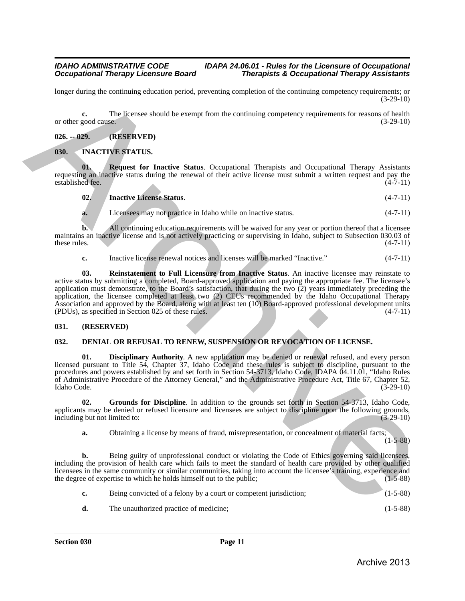longer during the continuing education period, preventing completion of the continuing competency requirements; or  $(3-29-10)$ 

**c.** The licensee should be exempt from the continuing competency requirements for reasons of health or other good cause. (3-29-10)

#### <span id="page-10-0"></span>**026. -- 029. (RESERVED)**

#### <span id="page-10-7"></span><span id="page-10-1"></span>**030. INACTIVE STATUS.**

**01. Request for Inactive Status**. Occupational Therapists and Occupational Therapy Assistants requesting an inactive status during the renewal of their active license must submit a written request and pay the established fee. (4-7-11) established fee.

<span id="page-10-10"></span><span id="page-10-8"></span>**02. Inactive License Status**. (4-7-11)

**a.** Licensees may not practice in Idaho while on inactive status. (4-7-11)

**b.** All continuing education requirements will be waived for any year or portion thereof that a licensee maintains an inactive license and is not actively practicing or supervising in Idaho, subject to Subsection 030.03 of these rules. (4-7-11) these rules.  $(4-7-11)$ 

<span id="page-10-9"></span>**c.** Inactive license renewal notices and licenses will be marked "Inactive." (4-7-11)

**03. Reinstatement to Full Licensure from Inactive Status**. An inactive licensee may reinstate to active status by submitting a completed, Board-approved application and paying the appropriate fee. The licensee's application must demonstrate, to the Board's satisfaction, that during the two (2) years immediately preceding the application, the licensee completed at least two (2) CEUs recommended by the Idaho Occupational Therapy Association and approved by the Board, along with at least ten (10) Board-approved professional development units (PDUs), as specified in Section 025 of these rules. (4-7-11) Using educing the continuiting educintom period, presenting completion of the ametically completely equiple<br>and the second of the second of the second from the continuiting competency requirements for reasons of health<br>
0

#### <span id="page-10-2"></span>**031. (RESERVED)**

#### <span id="page-10-4"></span><span id="page-10-3"></span>**032. DENIAL OR REFUSAL TO RENEW, SUSPENSION OR REVOCATION OF LICENSE.**

<span id="page-10-5"></span>**01. Disciplinary Authority**. A new application may be denied or renewal refused, and every person licensed pursuant to Title 54, Chapter 37, Idaho Code and these rules is subject to discipline, pursuant to the procedures and powers established by and set forth in Section 54-3713, Idaho Code, IDAPA 04.11.01, "Idaho Rules of Administrative Procedure of the Attorney General," and the Administrative Procedure Act, Title 67, Chapter 52, Idaho Code. (3-29-10)

**02. Grounds for Discipline**. In addition to the grounds set forth in Section 54-3713, Idaho Code, applicants may be denied or refused licensure and licensees are subject to discipline upon the following grounds, including but not limited to: (3-29-10) including but not limited to:

<span id="page-10-6"></span>**a.** Obtaining a license by means of fraud, misrepresentation, or concealment of material facts;

 $(1-5-88)$ 

**b.** Being guilty of unprofessional conduct or violating the Code of Ethics governing said licensees, including the provision of health care which fails to meet the standard of health care provided by other qualified licensees in the same community or similar communities, taking into account the licensee's training, experience and the degree of expertise to which he holds himself out to the public; (1-5-88)

| Being convicted of a felony by a court or competent jurisdiction; | $(1-5-88)$ |
|-------------------------------------------------------------------|------------|
| The unauthorized practice of medicine:                            | $(1-5-88)$ |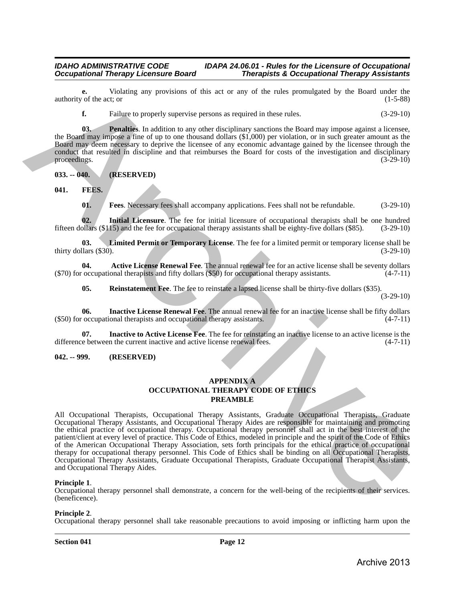**e.** Violating any provisions of this act or any of the rules promulgated by the Board under the  $\sigma$  of the act; or (1-5-88) authority of the act; or

<span id="page-11-4"></span>**f.** Failure to properly supervise persons as required in these rules.  $(3-29-10)$ 

**03. Penalties**. In addition to any other disciplinary sanctions the Board may impose against a licensee, the Board may impose a fine of up to one thousand dollars (\$1,000) per violation, or in such greater amount as the Board may deem necessary to deprive the licensee of any economic advantage gained by the licensee through the conduct that resulted in discipline and that reimburses the Board for costs of the investigation and disciplinary proceedings.  $(3-29-10)$ 

<span id="page-11-0"></span>**033. -- 040. (RESERVED)**

<span id="page-11-1"></span>**041. FEES.**

<span id="page-11-11"></span><span id="page-11-10"></span><span id="page-11-7"></span><span id="page-11-5"></span>**01. Fees**. Necessary fees shall accompany applications. Fees shall not be refundable. (3-29-10)

**02. Initial Licensure**. The fee for initial licensure of occupational therapists shall be one hundred fifteen dollars (\$115) and the fee for occupational therapy assistants shall be eighty-five dollars (\$85). (3-29-10)

**03. Limited Permit or Temporary License**. The fee for a limited permit or temporary license shall be thirty dollars  $(\$30)$ .

**04. Active License Renewal Fee**. The annual renewal fee for an active license shall be seventy dollars (\$70) for occupational therapists and fifty dollars (\$50) for occupational therapy assistants. (4-7-11)

<span id="page-11-12"></span><span id="page-11-9"></span><span id="page-11-8"></span><span id="page-11-6"></span>**05.** Reinstatement Fee. The fee to reinstate a lapsed license shall be thirty-five dollars (\$35).

(3-29-10)

**06. Inactive License Renewal Fee**. The annual renewal fee for an inactive license shall be fifty dollars (\$50) for occupational therapists and occupational therapy assistants. (4-7-11)

**07. Inactive to Active License Fee**. The fee for reinstating an inactive license to an active license is the difference between the current inactive and active license renewal fees.  $(4-7-11)$ 

#### <span id="page-11-2"></span>**042. -- 999. (RESERVED)**

#### <span id="page-11-3"></span>**APPENDIX A OCCUPATIONAL THERAPY CODE OF ETHICS PREAMBLE**

All Occupational Therapists, Occupational Therapy Assistants, Graduate Occupational Therapists, Graduate Occupational Therapy Assistants, and Occupational Therapy Aides are responsible for maintaining and promoting the ethical practice of occupational therapy. Occupational therapy personnel shall act in the best interest of the patient/client at every level of practice. This Code of Ethics, modeled in principle and the spirit of the Code of Ethics of the American Occupational Therapy Association, sets forth principals for the ethical practice of occupational therapy for occupational therapy personnel. This Code of Ethics shall be binding on all Occupational Therapists, Occupational Therapy Assistants, Graduate Occupational Therapists, Graduate Occupational Therapist Assistants, and Occupational Therapy Aides. anthony of the act of this act in any of the rate permulgated by the Fouri units<br>
Archive to provide the property consisted procedure and the main terms of the constraints.<br>
Archive to provide the constraints of the const

**Principle 1.** Occupational therapy personnel shall demonstrate, a concern for the well-being of the recipients of their services. (beneficence).

#### **Principle 2**.

Occupational therapy personnel shall take reasonable precautions to avoid imposing or inflicting harm upon the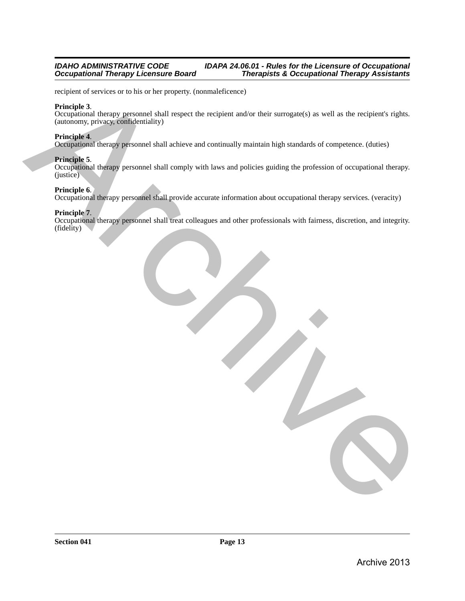recipient of services or to his or her property. (nonmaleficence)

#### **Principle 3**.

Occupational therapy personnel shall respect the recipient and/or their surrogate(s) as well as the recipient's rights. (autonomy, privacy, confidentiality)

#### **Principle 4**.

Occupational therapy personnel shall achieve and continually maintain high standards of competence. (duties)

#### **Principle 5**.

Occupational therapy personnel shall comply with laws and policies guiding the profession of occupational therapy. (justice) receives the leading operation of the property, (representations)<br>
Completed that compares that it speed the receipist and/or their summers (s) as well as the recipients right,<br>
Completed therapy processes that it receives

#### **Principle 6**.

Occupational therapy personnel shall provide accurate information about occupational therapy services. (veracity)

#### **Principle 7**.

Occupational therapy personnel shall treat colleagues and other professionals with fairness, discretion, and integrity. (fidelity)